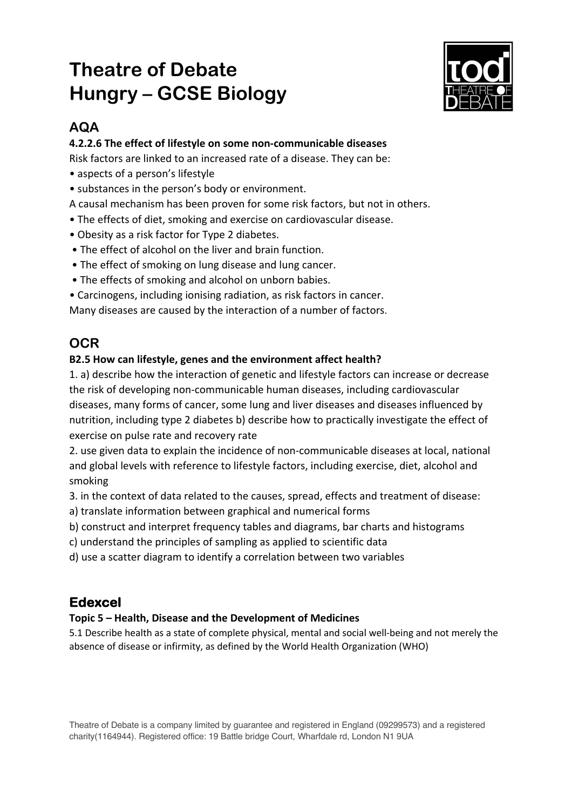## **Theatre of Debate Hungry – GCSE Biology**



### **AQA**

#### **4.2.2.6 The effect of lifestyle on some non-communicable diseases**

Risk factors are linked to an increased rate of a disease. They can be:

- aspects of a person's lifestyle
- substances in the person's body or environment.
- A causal mechanism has been proven for some risk factors, but not in others.
- The effects of diet, smoking and exercise on cardiovascular disease.
- Obesity as a risk factor for Type 2 diabetes.
- The effect of alcohol on the liver and brain function.
- The effect of smoking on lung disease and lung cancer.
- The effects of smoking and alcohol on unborn babies.
- Carcinogens, including ionising radiation, as risk factors in cancer.

Many diseases are caused by the interaction of a number of factors.

## **OCR**

#### **B2.5 How can lifestyle, genes and the environment affect health?**

1. a) describe how the interaction of genetic and lifestyle factors can increase or decrease the risk of developing non-communicable human diseases, including cardiovascular diseases, many forms of cancer, some lung and liver diseases and diseases influenced by nutrition, including type 2 diabetes b) describe how to practically investigate the effect of exercise on pulse rate and recovery rate

2. use given data to explain the incidence of non-communicable diseases at local, national and global levels with reference to lifestyle factors, including exercise, diet, alcohol and smoking

3. in the context of data related to the causes, spread, effects and treatment of disease:

- a) translate information between graphical and numerical forms
- b) construct and interpret frequency tables and diagrams, bar charts and histograms
- c) understand the principles of sampling as applied to scientific data
- d) use a scatter diagram to identify a correlation between two variables

## **Edexcel**

#### **Topic 5 – Health, Disease and the Development of Medicines**

5.1 Describe health as a state of complete physical, mental and social well-being and not merely the absence of disease or infirmity, as defined by the World Health Organization (WHO)